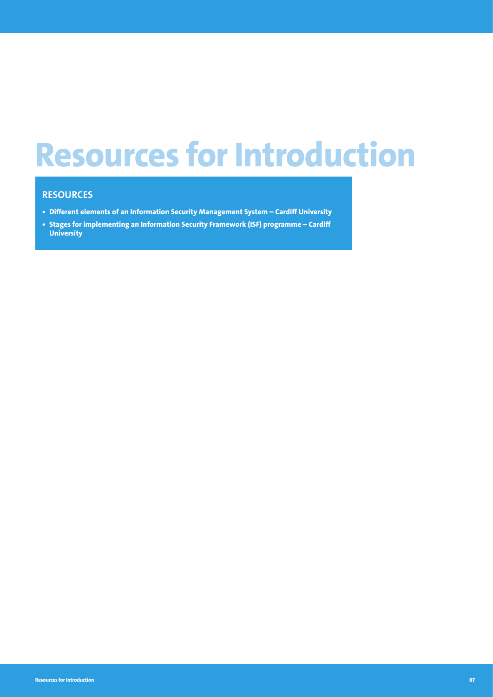# **Resources for Introduction**

#### **RESOURCES**

- **• Different elements of an Information Security Management System Cardiff University**
- **• Stages for implementing an Information Security Framework (ISF) programme Cardiff University**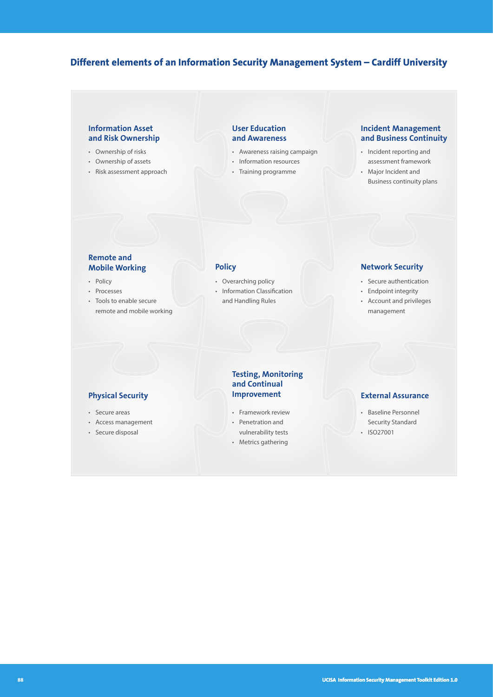#### **Different elements of an Information Security Management System – Cardiff University**

#### **Information Asset and Risk Ownership**

- Ownership of risks
- Ownership of assets
- Risk assessment approach

#### **User Education and Awareness**

- Awareness raising campaign
- Information resources
- Training programme

#### **Incident Management and Business Continuity**

- Incident reporting and assessment framework
- Major Incident and Business continuity plans

# **Remote and**

- Policy
- Processes
- Tools to enable secure remote and mobile working

- Overarching policy
- Information Classification and Handling Rules

#### **Mobile Working The Policy Policy Retwork Security**

- Secure authentication
- Endpoint integrity
- Account and privileges management

#### **Physical Security**

- Secure areas
- Access management
- Secure disposal

## **Testing, Monitoring and Continual**

- Framework review
- Penetration and vulnerability tests
- Metrics gathering

#### **External Assurance**

- Baseline Personnel Security Standard
- ISO27001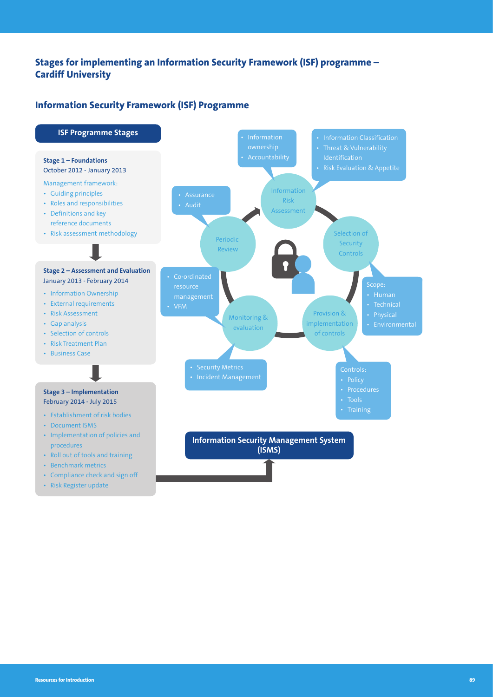#### **Stages for implementing an Information Security Framework (ISF) programme – Cardiff University**

#### **Information Security Framework (ISF) Programme**